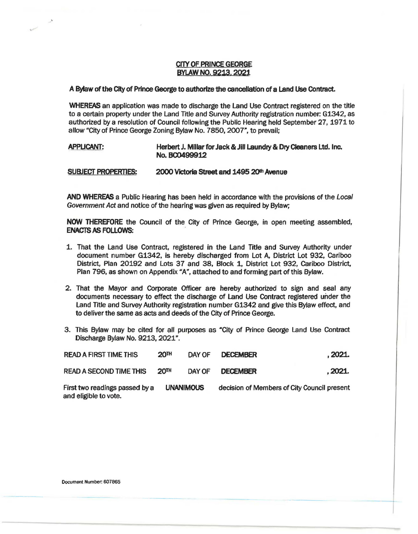## CITY OF **PRINCE GEORGE BYLAW NO. 9213. 2021**

## **A Bylaw of the City of Prince George to authorize the cancellation** of **a Land Use Contract.**

**WHEREAS** an application was made to discharge the Land Use Contract registered on the title to a certain property under the Land Trtle and Survey Authority registration number: G1342, as authorized by a resolution of Council following the Public Hearing held September 27, 1971 to allow "City of Prince George Zoning Bylaw No. 7850, 2007", to prevail;

## **APPLICANT: Herbert** J. **MIiiar for Jack** & **Jill Laundry** & **Dry Cleaners Ltd. Inc. No. BC0499912**

## **SUBJECT PROPERTIES: 2000 Victoria Street and 1495 2Qlh Avenue**

**AND WHEREAS** a Public Hearing has been held in accordance with the provisions of the Local Government Act and notice of the hearing was given as required by Bylaw;

**NOW THEREFORE** the Council of the City of Prince George, in open meeting assembled, **ENACTS AS FOLLOWS:** 

- 1. That the Land Use Contract, registered in the Land Title and Survey Authority under document number G1342, is hereby discharged from Lot A, District Lot 932, Cariboo District, Plan 20192 and Lots 37 and 38, Block 1, District Lot 932, Cariboo District, Plan 796, as shown on Appendix "A", attached to and forming part of this Bylaw.
- 2. That the Mayor and Corporate Officer are hereby authorized to sign and seal any documents necessary to effect the discharge of Land Use Contract registered under the Land Title and Survey Authority registration number G1342 and give this Bylaw effect, and to deliver the same as acts and deeds of the City of Prince George.
- 3. This Bylaw may be cited for all purposes as "City of Prince George Land Use Contract Discharge Bylaw No. 9213, 2021".

| <b>READ A FIRST TIME THIS</b>                           | 20 <sup>TH</sup> | DAY OF | <b>DECEMBER</b>                             | . 2021. |
|---------------------------------------------------------|------------------|--------|---------------------------------------------|---------|
| <b>READ A SECOND TIME THIS</b>                          | 20 <sup>TH</sup> | DAY OF | <b>DECEMBER</b>                             | . 2021. |
| First two readings passed by a<br>and eligible to vote. | <b>UNANIMOUS</b> |        | decision of Members of City Council present |         |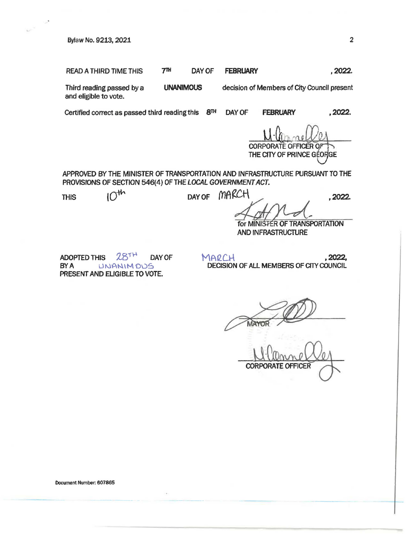Bylaw No. 9213, 2021 2012

READ A THIRD TIME THIS 7<sup>TH</sup> DAY OF FEBRUARY 1997 2022.

Third reading passed by a and eligible to vote. **UNANIMOUS** decision of Members of City Council present

Certified correct as passed third reading this **8™** DAY OF **FEBRUARY ,2022.** 

 $M·Q$ <sub> $CORPORTE$ </sub> THE CITY OF PRINCE GEORGE

APPROVED BY THE MINISTER OF TRANSPORTATION AND INFRASTRUCTURE PURSUANT TO THE PROVISIONS OF SECTION 546(4) OF THE LOCAL GOVERNMENT ACT.

for MINISTER OF TRANSPORTATION AND INFRASTRUCTURE

ADOPTED THIS  $28<sup>TH</sup>$  DAY OF BY A UNANIMOUS PRESENT AND ELIGIBLE TO VOTE.

 $MARCH$ , 2022, DECISION OF ALL MEMBERS OF CITY COUNCIL

NATOR<sup>200</sup>

CORPORATE OFFICER

THIS  $10<sup>th</sup>$  DAY OF MARCH, 2022.